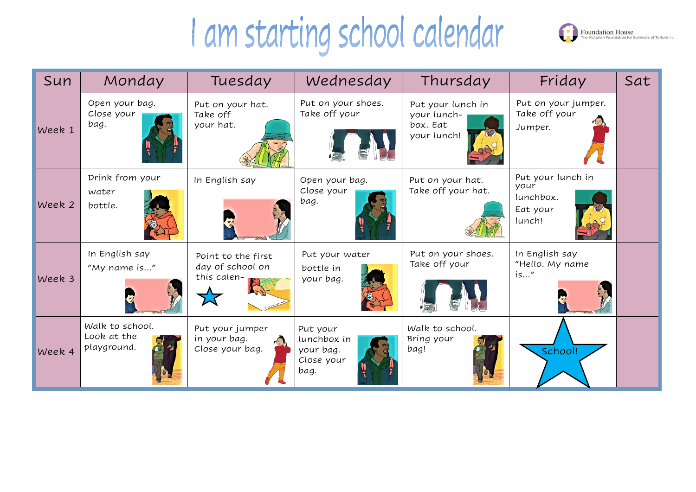## I am starting school calendar

| Sun    | Monday                                        | Tuesday                                               | Wednesday                                                  | Thursday                                                    | Friday                                                       | Sat |
|--------|-----------------------------------------------|-------------------------------------------------------|------------------------------------------------------------|-------------------------------------------------------------|--------------------------------------------------------------|-----|
| Week 1 | Open your bag.<br>Close your<br>bag.          | Put on your hat.<br>Take off<br>your hat.             | Put on your shoes.<br>Take off your                        | Put your lunch in<br>your lunch-<br>box. Eat<br>your lunch! | Put on your jumper.<br>Take off your<br>Jumper.              |     |
| Week 2 | Drink from your<br>water<br>bottle.           | In English say                                        | Open your bag.<br>Close your<br>bag.                       | Put on your hat.<br>Take off your hat.                      | Put your lunch in<br>your<br>lunchbox.<br>Eat your<br>lunch! |     |
| Week 3 | In English say<br>"My name is"                | Point to the first<br>day of school on<br>this calen- | Put your water<br>bottle in<br>your bag.                   | Put on your shoes.<br>Take off your                         | In English say<br>"Hello. My name<br>is''<br>与               |     |
| Week 4 | Walk to school.<br>Look at the<br>playground. | Put your jumper<br>in your bag.<br>Close your bag.    | Put your<br>lunchbox in<br>your bag.<br>Close your<br>bag. | Walk to school.<br>Bring your<br>bag!                       | School!                                                      |     |



| Friday                                                       | Sat |
|--------------------------------------------------------------|-----|
| Put on your jumper.<br>Take off your<br>Jumper.              |     |
| Put your lunch in<br>your<br>lunchbox.<br>Eat your<br>lunch! |     |
| In English say<br>"Hello. My name<br>is"                     |     |
| School!                                                      |     |